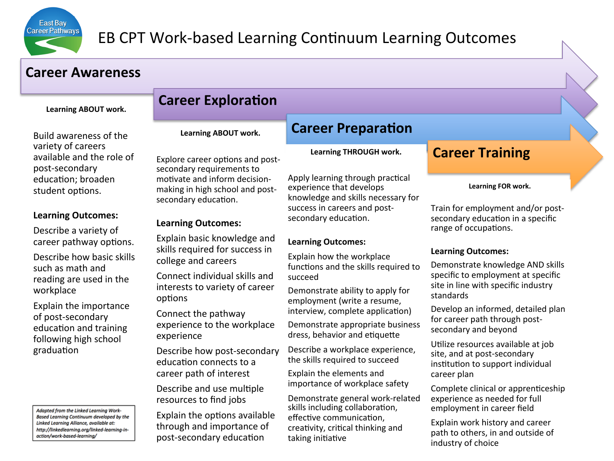

# EB CPT Work-based Learning Continuum Learning Outcomes

### **Career Awareness**

Learning ABOUT work.

Build awareness of the variety of careers available and the role of post-secondary education; broaden student options.

#### Learning Outcomes:

Describe a variety of career pathway options.

Describe how basic skills such as math and reading are used in the workplace 

Explain the importance of post-secondary education and training following high school graduation

Adapted from the Linked Learning Work-Based Learning Continuum developed by the Linked Learning Alliance, available at: http://linkedlearning.org/linked-learning-inaction/work-based-learning/

## **Career Exploration**

Learning ABOUT work.

Explore career options and postsecondary requirements to motivate and inform decisionmaking in high school and postsecondary education.

### Learning Outcomes:

Explain basic knowledge and skills required for success in college and careers

Connect individual skills and interests to variety of career options

Connect the pathway experience to the workplace experience 

Describe how post-secondary education connects to a career path of interest

Describe and use multiple resources to find jobs

Explain the options available through and importance of post-secondary education

### **Career Preparation**

Learning THROUGH work.

Apply learning through practical experience that develops knowledge and skills necessary for success in careers and postsecondary education.

### Learning Outcomes:

Explain how the workplace functions and the skills required to succeed 

Demonstrate ability to apply for employment (write a resume, interview, complete application)

Demonstrate appropriate business dress, behavior and etiquette

Describe a workplace experience, the skills required to succeed

Explain the elements and importance of workplace safety

Demonstrate general work-related skills including collaboration, effective communication. creativity, critical thinking and taking initiative

### **Career Training**

#### Learning **FOR** work.

Train for employment and/or postsecondary education in a specific range of occupations.

#### Learning Outcomes:

Demonstrate knowledge AND skills specific to employment at specific site in line with specific industry standards

Develop an informed, detailed plan for career path through postsecondary and beyond

Utilize resources available at job site, and at post-secondary institution to support individual career plan

Complete clinical or apprenticeship experience as needed for full employment in career field

Explain work history and career path to others, in and outside of industry of choice